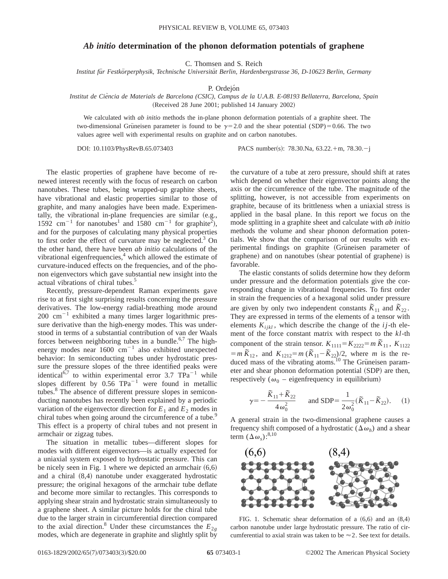## *Ab initio* **determination of the phonon deformation potentials of graphene**

C. Thomsen and S. Reich

*Institut fu¨r Festko¨rperphysik, Technische Universita¨t Berlin, Hardenbergstrasse 36, D-10623 Berlin, Germany*

P. Ordejón

*Institut de Cie`ncia de Materials de Barcelona (CSIC), Campus de la U.A.B. E-08193 Bellaterra, Barcelona, Spain* (Received 28 June 2001; published 14 January 2002)

We calculated with *ab initio* methods the in-plane phonon deformation potentials of a graphite sheet. The two-dimensional Grüneisen parameter is found to be  $\gamma=2.0$  and the shear potential (SDP)=0.66. The two values agree well with experimental results on graphite and on carbon nanotubes.

DOI: 10.1103/PhysRevB.65.073403 PACS number(s): 78.30.Na, 63.22.+m, 78.30.-j

The elastic properties of graphene have become of renewed interest recently with the focus of research on carbon nanotubes. These tubes, being wrapped-up graphite sheets, have vibrational and elastic properties similar to those of graphite, and many analogies have been made. Experimentally, the vibrational in-plane frequencies are similar  $(e.g.,)$ 1592 cm<sup>-1</sup> for nanotubes<sup>1</sup> and 1580 cm<sup>-1</sup> for graphite<sup>2</sup>), and for the purposes of calculating many physical properties to first order the effect of curvature may be neglected.<sup>3</sup> On the other hand, there have been *ab initio* calculations of the vibrational eigenfrequencies,<sup>4</sup> which allowed the estimate of curvature-induced effects on the frequencies, and of the phonon eigenvectors which gave substantial new insight into the actual vibrations of chiral tubes.<sup>5</sup>

Recently, pressure-dependent Raman experiments gave rise to at first sight surprising results concerning the pressure derivatives. The low-energy radial-breathing mode around  $200 \text{ cm}^{-1}$  exhibited a many times larger logarithmic pressure derivative than the high-energy modes. This was understood in terms of a substantial contribution of van der Waals forces between neighboring tubes in a bundle.<sup>6,7</sup> The highenergy modes near  $1600 \text{ cm}^{-1}$  also exhibited unexpected behavior: In semiconducting tubes under hydrostatic pressure the pressure slopes of the three identified peaks were identical<sup>6,7</sup> to within experimental error 3.7  $TPa^{-1}$  while slopes different by  $0.56$  TPa<sup>-1</sup> were found in metallic tubes.<sup>8</sup> The absence of different pressure slopes in semiconducting nanotubes has recently been explained by a periodic variation of the eigenvector direction for  $E_1$  and  $E_2$  modes in chiral tubes when going around the circumference of a tube.<sup>9</sup> This effect is a property of chiral tubes and not present in armchair or zigzag tubes.

The situation in metallic tubes—different slopes for modes with different eigenvectors—is actually expected for a uniaxial system exposed to hydrostatic pressure. This can be nicely seen in Fig. 1 where we depicted an armchair  $(6,6)$ and a chiral  $(8,4)$  nanotube under exaggerated hydrostatic pressure; the original hexagons of the armchair tube deflate and become more similar to rectangles. This corresponds to applying shear strain and hydrostatic strain simultaneously to a graphene sheet. A similar picture holds for the chiral tube due to the larger strain in circumferential direction compared to the axial direction.<sup>8</sup> Under these circumstances the  $E_{2g}$ modes, which are degenerate in graphite and slightly split by the curvature of a tube at zero pressure, should shift at rates which depend on whether their eigenvector points along the axis or the circumference of the tube. The magnitude of the splitting, however, is not accessible from experiments on graphite, because of its brittleness when a uniaxial stress is applied in the basal plane. In this report we focus on the mode splitting in a graphite sheet and calculate with *ab initio* methods the volume and shear phonon deformation potentials. We show that the comparison of our results with experimental findings on graphite (Grüneisen parameter of graphene) and on nanotubes (shear potential of graphene) is favorable.

The elastic constants of solids determine how they deform under pressure and the deformation potentials give the corresponding change in vibrational frequencies. To first order in strain the frequencies of a hexagonal solid under pressure are given by only two independent constants  $\tilde{K}_{11}$  and  $\tilde{K}_{22}$ . They are expressed in terms of the elements of a tensor with elements  $K_{ijkl}$ , which describe the change of the  $ij$ -th element of the force constant matrix with respect to the *kl*-th component of the strain tensor.  $K_{1111} = K_{2222} = m \tilde{K}_{11}$ ,  $K_{1122}$  $= m \tilde{K}_{12}$ , and  $K_{1212} = m (\tilde{K}_{11} - \tilde{K}_{22})/2$ , where *m* is the reduced mass of the vibrating atoms.<sup>10</sup> The Grüneisen parameter and shear phonon deformation potential (SDP) are then, respectively ( $\omega_0$  – eigenfrequency in equilibrium)

$$
\gamma = -\frac{\tilde{K}_{11} + \tilde{K}_{22}}{4\omega_0^2} \quad \text{and SDP} = \frac{1}{2\omega_0^2} (\tilde{K}_{11} - \tilde{K}_{22}). \quad (1)
$$

A general strain in the two-dimensional graphene causes a frequency shift composed of a hydrostatic ( $\Delta \omega_h$ ) and a shear term  $(\Delta\omega_s)^{8,10}$ 



FIG. 1. Schematic shear deformation of a  $(6,6)$  and an  $(8,4)$ carbon nanotube under large hydrostatic pressure. The ratio of circumferential to axial strain was taken to be  $\approx$  2. See text for details.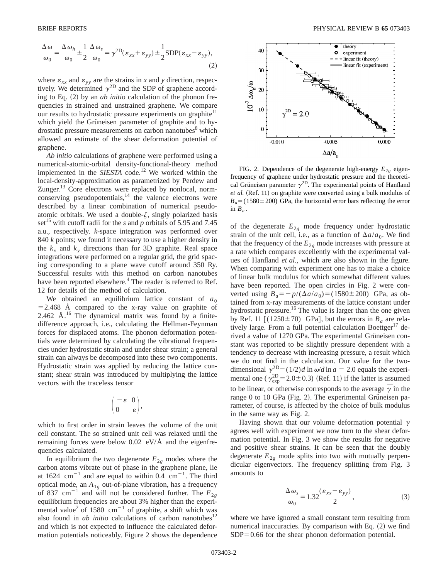$$
\frac{\Delta \omega}{\omega_0} = \frac{\Delta \omega_h}{\omega_0} \pm \frac{1}{2} \frac{\Delta \omega_s}{\omega_0} = \gamma^{2D} (\varepsilon_{xx} + \varepsilon_{yy}) \pm \frac{1}{2} SDP (\varepsilon_{xx} - \varepsilon_{yy}),
$$
\n(2)

where  $\varepsilon_{xx}$  and  $\varepsilon_{yy}$  are the strains in *x* and *y* direction, respectively. We determined  $\gamma^{\text{2D}}$  and the SDP of graphene according to Eq.  $(2)$  by an *ab initio* calculation of the phonon frequencies in strained and unstrained graphene. We compare our results to hydrostatic pressure experiments on graphite<sup>11</sup> which yield the Grüneisen parameter of graphite and to hydrostatic pressure measurements on carbon nanotubes<sup>8</sup> which allowed an estimate of the shear deformation potential of graphene.

*Ab initio* calculations of graphene were performed using a numerical-atomic-orbital density-functional-theory method implemented in the *SIESTA* code.<sup>12</sup> We worked within the local-density-approximation as parametrized by Perdew and Zunger.<sup>13</sup> Core electrons were replaced by nonlocal, normconserving pseudopotentials, $14$  the valence electrons were described by a linear combination of numerical pseudoatomic orbitals. We used a double- $\zeta$ , singly polarized basis set<sup>15</sup> with cutoff radii for the *s* and *p* orbitals of 5.95 and 7.45 a.u., respectively. *k*-space integration was performed over 840 *k* points; we found it necessary to use a higher density in the  $k_x$  and  $k_y$  directions than for 3D graphite. Real space integrations were performed on a regular grid, the grid spacing corresponding to a plane wave cutoff around 350 Ry. Successful results with this method on carbon nanotubes have been reported elsewhere.<sup>4</sup> The reader is referred to Ref. 12 for details of the method of calculation.

We obtained an equilibrium lattice constant of  $a_0$  $=$  2.468 Å compared to the x-ray value on graphite of 2.462 Å. $^{16}$  The dynamical matrix was found by a finitedifference approach, i.e., calculating the Hellman-Feynman forces for displaced atoms. The phonon deformation potentials were determined by calculating the vibrational frequencies under hydrostatic strain and under shear strain; a general strain can always be decomposed into these two components. Hydrostatic strain was applied by reducing the lattice constant; shear strain was introduced by multiplying the lattice vectors with the traceless tensor

$$
\begin{pmatrix} -\epsilon & 0 \\ 0 & \epsilon \end{pmatrix},
$$

which to first order in strain leaves the volume of the unit cell constant. The so strained unit cell was relaxed until the remaining forces were below 0.02 eV/Å and the eigenfrequencies calculated.

In equilibrium the two degenerate  $E_{2g}$  modes where the carbon atoms vibrate out of phase in the graphene plane, lie at 1624  $\text{cm}^{-1}$  and are equal to within 0.4  $\text{cm}^{-1}$ . The third optical mode, an *A*1*<sup>g</sup>* out-of-plane vibration, has a frequency of 837 cm<sup>-1</sup> and will not be considered further. The  $E_{2g}$ equilibrium frequencies are about 3% higher than the experimental value<sup>2</sup> of 1580 cm<sup>-1</sup> of graphite, a shift which was also found in  $ab$  *initio* calculations of carbon nanotubes<sup>12</sup> and which is not expected to influence the calculated deformation potentials noticeably. Figure 2 shows the dependence



FIG. 2. Dependence of the degenerate high-energy  $E_{2g}$  eigenfrequency of graphene under hydrostatic pressure and the theoretical Grüneisen parameter  $\gamma^{2D}$ . The experimental points of Hanfland *et al.* (Ref. 11) on graphite were converted using a bulk modulus of  $B_a = (1580 \pm 200)$  GPa, the horizontal error bars reflecting the error in  $B_a$ .

of the degenerate  $E_{2g}$  mode frequency under hydrostatic strain of the unit cell, i.e., as a function of  $\Delta a/a_0$ . We find that the frequency of the  $E_{2g}$  mode increases with pressure at a rate which compares excellently with the experimental values of Hanfland *et al.*, which are also shown in the figure. When comparing with experiment one has to make a choice of linear bulk modulus for which somewhat different values have been reported. The open circles in Fig. 2 were converted using  $B_a = -p/(\Delta a/a_0) = (1580 \pm 200)$  GPa, as obtained from x-ray measurements of the lattice constant under hydrostatic pressure.<sup>16</sup> The value is larger than the one given by Ref. 11  $[(1250 \pm 70)$  GPa], but the errors in  $B_a$  are relatively large. From a full potential calculation Boettger<sup>17</sup> derived a value of 1270 GPa. The experimental Grüneisen constant was reported to be slightly pressure dependent with a tendency to decrease with increasing pressure, a result which we do not find in the calculation. Our value for the twodimensional  $\gamma^{2D} = (1/2)d \ln \omega/d \ln a = 2.0$  equals the experimental one ( $\gamma_{\rm exp}^{\rm 2D}$  = 2.0 ± 0.3) (Ref. 11) if the latter is assumed to be linear, or otherwise corresponds to the average  $\bar{\gamma}$  in the range 0 to 10 GPa (Fig. 2). The experimental Grüneisen parameter, of course, is affected by the choice of bulk modulus in the same way as Fig. 2.

Having shown that our volume deformation potential  $\gamma$ agrees well with experiment we now turn to the shear deformation potential. In Fig. 3 we show the results for negative and positive shear strains. It can be seen that the doubly degenerate  $E_{2g}$  mode splits into two with mutually perpendicular eigenvectors. The frequency splitting from Fig. 3 amounts to

$$
\frac{\Delta \omega_s}{\omega_0} = 1.32 \frac{(\varepsilon_{xx} - \varepsilon_{yy})}{2},\tag{3}
$$

where we have ignored a small constant term resulting from numerical inaccuracies. By comparison with Eq.  $(2)$  we find  $SDP = 0.66$  for the shear phonon deformation potential.